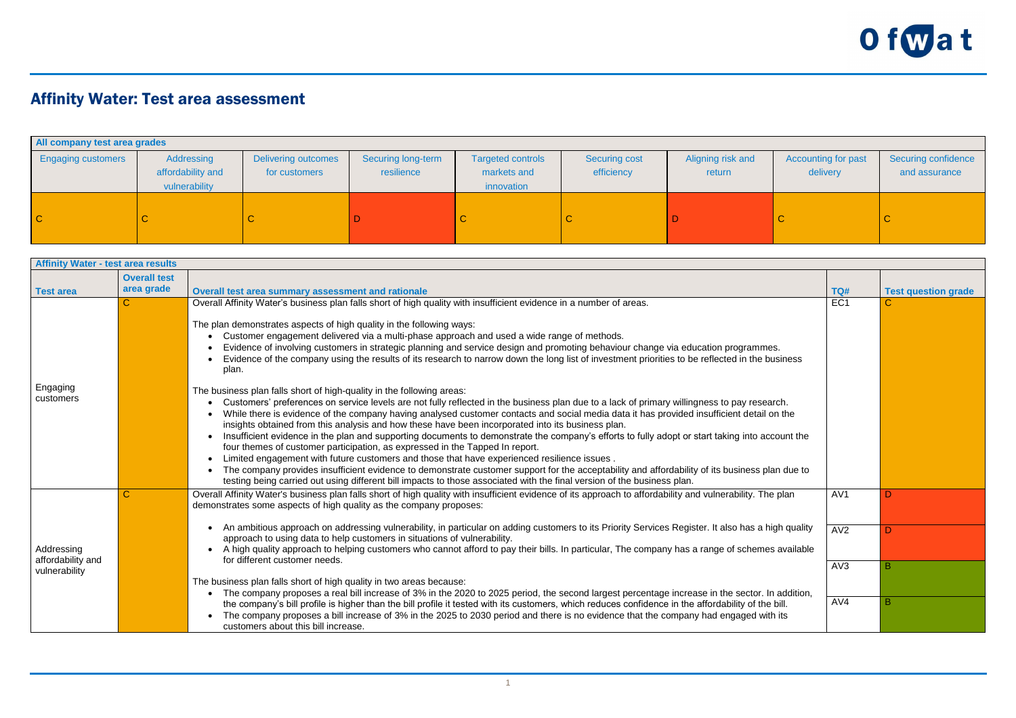

## Affinity Water: Test area assessment

| All company test area grades |                                                  |                                             |                                  |                                                       |                                    |                             |                                        |                                      |  |
|------------------------------|--------------------------------------------------|---------------------------------------------|----------------------------------|-------------------------------------------------------|------------------------------------|-----------------------------|----------------------------------------|--------------------------------------|--|
| <b>Engaging customers</b>    | Addressing<br>affordability and<br>vulnerability | <b>Delivering outcomes</b><br>for customers | Securing long-term<br>resilience | <b>Targeted controls</b><br>markets and<br>innovation | <b>Securing cost</b><br>efficiency | Aligning risk and<br>return | <b>Accounting for past</b><br>delivery | Securing confidence<br>and assurance |  |
| $\overline{C}$               |                                                  |                                             |                                  |                                                       | $\mathsf{C}$                       |                             | -C                                     |                                      |  |

| <b>Affinity Water - test area results</b>        |                         |                                                                                                                                                                                                                                                                                                                                                                                                                                                                                                                                                                                                                                                                                                                                                                                                                                                                                                                                                                                                                                                                                                                                                                                                                                                                                                                                                                                                                                                                                                                                                                                                                                                                                         |                                      |                            |  |  |
|--------------------------------------------------|-------------------------|-----------------------------------------------------------------------------------------------------------------------------------------------------------------------------------------------------------------------------------------------------------------------------------------------------------------------------------------------------------------------------------------------------------------------------------------------------------------------------------------------------------------------------------------------------------------------------------------------------------------------------------------------------------------------------------------------------------------------------------------------------------------------------------------------------------------------------------------------------------------------------------------------------------------------------------------------------------------------------------------------------------------------------------------------------------------------------------------------------------------------------------------------------------------------------------------------------------------------------------------------------------------------------------------------------------------------------------------------------------------------------------------------------------------------------------------------------------------------------------------------------------------------------------------------------------------------------------------------------------------------------------------------------------------------------------------|--------------------------------------|----------------------------|--|--|
|                                                  | <b>Overall test</b>     |                                                                                                                                                                                                                                                                                                                                                                                                                                                                                                                                                                                                                                                                                                                                                                                                                                                                                                                                                                                                                                                                                                                                                                                                                                                                                                                                                                                                                                                                                                                                                                                                                                                                                         |                                      |                            |  |  |
| <b>Test area</b>                                 | area grade              | Overall test area summary assessment and rationale                                                                                                                                                                                                                                                                                                                                                                                                                                                                                                                                                                                                                                                                                                                                                                                                                                                                                                                                                                                                                                                                                                                                                                                                                                                                                                                                                                                                                                                                                                                                                                                                                                      | TQ#                                  | <b>Test question grade</b> |  |  |
| Engaging<br>customers                            | $\overline{C}$          | Overall Affinity Water's business plan falls short of high quality with insufficient evidence in a number of areas.<br>The plan demonstrates aspects of high quality in the following ways:<br>Customer engagement delivered via a multi-phase approach and used a wide range of methods.<br>Evidence of involving customers in strategic planning and service design and promoting behaviour change via education programmes.<br>• Evidence of the company using the results of its research to narrow down the long list of investment priorities to be reflected in the business<br>plan.<br>The business plan falls short of high-quality in the following areas:<br>Customers' preferences on service levels are not fully reflected in the business plan due to a lack of primary willingness to pay research.<br>While there is evidence of the company having analysed customer contacts and social media data it has provided insufficient detail on the<br>insights obtained from this analysis and how these have been incorporated into its business plan.<br>Insufficient evidence in the plan and supporting documents to demonstrate the company's efforts to fully adopt or start taking into account the<br>four themes of customer participation, as expressed in the Tapped In report.<br>Limited engagement with future customers and those that have experienced resilience issues.<br>• The company provides insufficient evidence to demonstrate customer support for the acceptability and affordability of its business plan due to<br>testing being carried out using different bill impacts to those associated with the final version of the business plan. | EC <sub>1</sub>                      |                            |  |  |
| Addressing<br>affordability and<br>vulnerability | $\overline{\mathbf{C}}$ | Overall Affinity Water's business plan falls short of high quality with insufficient evidence of its approach to affordability and vulnerability. The plan<br>demonstrates some aspects of high quality as the company proposes:<br>An ambitious approach on addressing vulnerability, in particular on adding customers to its Priority Services Register. It also has a high quality<br>approach to using data to help customers in situations of vulnerability.<br>• A high quality approach to helping customers who cannot afford to pay their bills. In particular, The company has a range of schemes available<br>for different customer needs.<br>The business plan falls short of high quality in two areas because:<br>The company proposes a real bill increase of 3% in the 2020 to 2025 period, the second largest percentage increase in the sector. In addition,<br>the company's bill profile is higher than the bill profile it tested with its customers, which reduces confidence in the affordability of the bill.<br>The company proposes a bill increase of 3% in the 2025 to 2030 period and there is no evidence that the company had engaged with its<br>customers about this bill increase.                                                                                                                                                                                                                                                                                                                                                                                                                                                                  | AV <sub>1</sub><br>AV2<br>AV3<br>AV4 | B                          |  |  |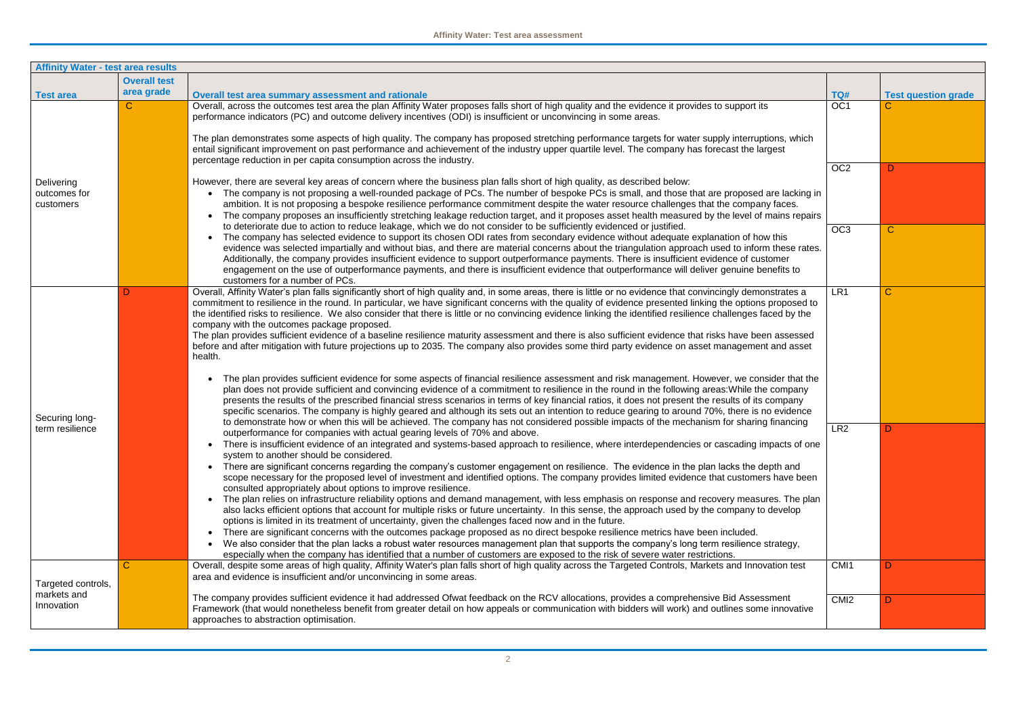| <b>Affinity Water - test area results</b>       |                                                                                                                                                                                                                                                                                                                                                                                                                                                                                              |                                                                                                                                                                                                                                                                                                                                                                                                                                                                                                                                                                                                                                                                                                                                                                                                                                                                                                                                                                                                                                                                                                                                                                                                                                                                                                                                                                                                                                                        |                  |                            |  |
|-------------------------------------------------|----------------------------------------------------------------------------------------------------------------------------------------------------------------------------------------------------------------------------------------------------------------------------------------------------------------------------------------------------------------------------------------------------------------------------------------------------------------------------------------------|--------------------------------------------------------------------------------------------------------------------------------------------------------------------------------------------------------------------------------------------------------------------------------------------------------------------------------------------------------------------------------------------------------------------------------------------------------------------------------------------------------------------------------------------------------------------------------------------------------------------------------------------------------------------------------------------------------------------------------------------------------------------------------------------------------------------------------------------------------------------------------------------------------------------------------------------------------------------------------------------------------------------------------------------------------------------------------------------------------------------------------------------------------------------------------------------------------------------------------------------------------------------------------------------------------------------------------------------------------------------------------------------------------------------------------------------------------|------------------|----------------------------|--|
|                                                 | <b>Overall test</b>                                                                                                                                                                                                                                                                                                                                                                                                                                                                          |                                                                                                                                                                                                                                                                                                                                                                                                                                                                                                                                                                                                                                                                                                                                                                                                                                                                                                                                                                                                                                                                                                                                                                                                                                                                                                                                                                                                                                                        |                  |                            |  |
| <b>Test area</b>                                | area grade                                                                                                                                                                                                                                                                                                                                                                                                                                                                                   | Overall test area summary assessment and rationale                                                                                                                                                                                                                                                                                                                                                                                                                                                                                                                                                                                                                                                                                                                                                                                                                                                                                                                                                                                                                                                                                                                                                                                                                                                                                                                                                                                                     | TQ#              | <b>Test question grade</b> |  |
|                                                 | $\mathsf{C}$<br>performance indicators (PC) and outcome delivery incentives (ODI) is insufficient or unconvincing in some areas.<br>percentage reduction in per capita consumption across the industry.<br>However, there are several key areas of concern where the business plan falls short of high quality, as described below:<br>to deteriorate due to action to reduce leakage, which we do not consider to be sufficiently evidenced or justified.<br>customers for a number of PCs. | Overall, across the outcomes test area the plan Affinity Water proposes falls short of high quality and the evidence it provides to support its<br>The plan demonstrates some aspects of high quality. The company has proposed stretching performance targets for water supply interruptions, which<br>entail significant improvement on past performance and achievement of the industry upper quartile level. The company has forecast the largest                                                                                                                                                                                                                                                                                                                                                                                                                                                                                                                                                                                                                                                                                                                                                                                                                                                                                                                                                                                                  | OC <sub>1</sub>  |                            |  |
|                                                 |                                                                                                                                                                                                                                                                                                                                                                                                                                                                                              |                                                                                                                                                                                                                                                                                                                                                                                                                                                                                                                                                                                                                                                                                                                                                                                                                                                                                                                                                                                                                                                                                                                                                                                                                                                                                                                                                                                                                                                        | OC <sub>2</sub>  | D                          |  |
| Delivering<br>outcomes for<br>customers         |                                                                                                                                                                                                                                                                                                                                                                                                                                                                                              | • The company is not proposing a well-rounded package of PCs. The number of bespoke PCs is small, and those that are proposed are lacking in<br>ambition. It is not proposing a bespoke resilience performance commitment despite the water resource challenges that the company faces.<br>The company proposes an insufficiently stretching leakage reduction target, and it proposes asset health measured by the level of mains repairs                                                                                                                                                                                                                                                                                                                                                                                                                                                                                                                                                                                                                                                                                                                                                                                                                                                                                                                                                                                                             |                  |                            |  |
|                                                 |                                                                                                                                                                                                                                                                                                                                                                                                                                                                                              | • The company has selected evidence to support its chosen ODI rates from secondary evidence without adequate explanation of how this<br>evidence was selected impartially and without bias, and there are material concerns about the triangulation approach used to inform these rates.<br>Additionally, the company provides insufficient evidence to support outperformance payments. There is insufficient evidence of customer<br>engagement on the use of outperformance payments, and there is insufficient evidence that outperformance will deliver genuine benefits to                                                                                                                                                                                                                                                                                                                                                                                                                                                                                                                                                                                                                                                                                                                                                                                                                                                                       | OC <sub>3</sub>  | $\mathbf C$                |  |
| Securing long-<br>term resilience               |                                                                                                                                                                                                                                                                                                                                                                                                                                                                                              | Overall, Affinity Water's plan falls significantly short of high quality and, in some areas, there is little or no evidence that convincingly demonstrates a<br>commitment to resilience in the round. In particular, we have significant concerns with the quality of evidence presented linking the options proposed to<br>the identified risks to resilience. We also consider that there is little or no convincing evidence linking the identified resilience challenges faced by the<br>company with the outcomes package proposed.<br>The plan provides sufficient evidence of a baseline resilience maturity assessment and there is also sufficient evidence that risks have been assessed<br>before and after mitigation with future projections up to 2035. The company also provides some third party evidence on asset management and asset<br>health.<br>The plan provides sufficient evidence for some aspects of financial resilience assessment and risk management. However, we consider that the<br>plan does not provide sufficient and convincing evidence of a commitment to resilience in the round in the following areas: While the company                                                                                                                                                                                                                                                                                   | LR <sub>1</sub>  | $\mathbf C$                |  |
|                                                 |                                                                                                                                                                                                                                                                                                                                                                                                                                                                                              | presents the results of the prescribed financial stress scenarios in terms of key financial ratios, it does not present the results of its company<br>specific scenarios. The company is highly geared and although its sets out an intention to reduce gearing to around 70%, there is no evidence<br>to demonstrate how or when this will be achieved. The company has not considered possible impacts of the mechanism for sharing financing                                                                                                                                                                                                                                                                                                                                                                                                                                                                                                                                                                                                                                                                                                                                                                                                                                                                                                                                                                                                        |                  |                            |  |
|                                                 |                                                                                                                                                                                                                                                                                                                                                                                                                                                                                              | outperformance for companies with actual gearing levels of 70% and above.<br>There is insufficient evidence of an integrated and systems-based approach to resilience, where interdependencies or cascading impacts of one<br>system to another should be considered.<br>There are significant concerns regarding the company's customer engagement on resilience. The evidence in the plan lacks the depth and<br>scope necessary for the proposed level of investment and identified options. The company provides limited evidence that customers have been<br>consulted appropriately about options to improve resilience.<br>• The plan relies on infrastructure reliability options and demand management, with less emphasis on response and recovery measures. The plan<br>also lacks efficient options that account for multiple risks or future uncertainty. In this sense, the approach used by the company to develop<br>options is limited in its treatment of uncertainty, given the challenges faced now and in the future.<br>There are significant concerns with the outcomes package proposed as no direct bespoke resilience metrics have been included.<br>We also consider that the plan lacks a robust water resources management plan that supports the company's long term resilience strategy,<br>especially when the company has identified that a number of customers are exposed to the risk of severe water restrictions. | LR <sub>2</sub>  |                            |  |
| Targeted controls,<br>markets and<br>Innovation |                                                                                                                                                                                                                                                                                                                                                                                                                                                                                              | Overall, despite some areas of high quality, Affinity Water's plan falls short of high quality across the Targeted Controls, Markets and Innovation test<br>area and evidence is insufficient and/or unconvincing in some areas.                                                                                                                                                                                                                                                                                                                                                                                                                                                                                                                                                                                                                                                                                                                                                                                                                                                                                                                                                                                                                                                                                                                                                                                                                       | CMI1             | D                          |  |
|                                                 |                                                                                                                                                                                                                                                                                                                                                                                                                                                                                              | The company provides sufficient evidence it had addressed Ofwat feedback on the RCV allocations, provides a comprehensive Bid Assessment<br>Framework (that would nonetheless benefit from greater detail on how appeals or communication with bidders will work) and outlines some innovative<br>approaches to abstraction optimisation.                                                                                                                                                                                                                                                                                                                                                                                                                                                                                                                                                                                                                                                                                                                                                                                                                                                                                                                                                                                                                                                                                                              | CMI <sub>2</sub> |                            |  |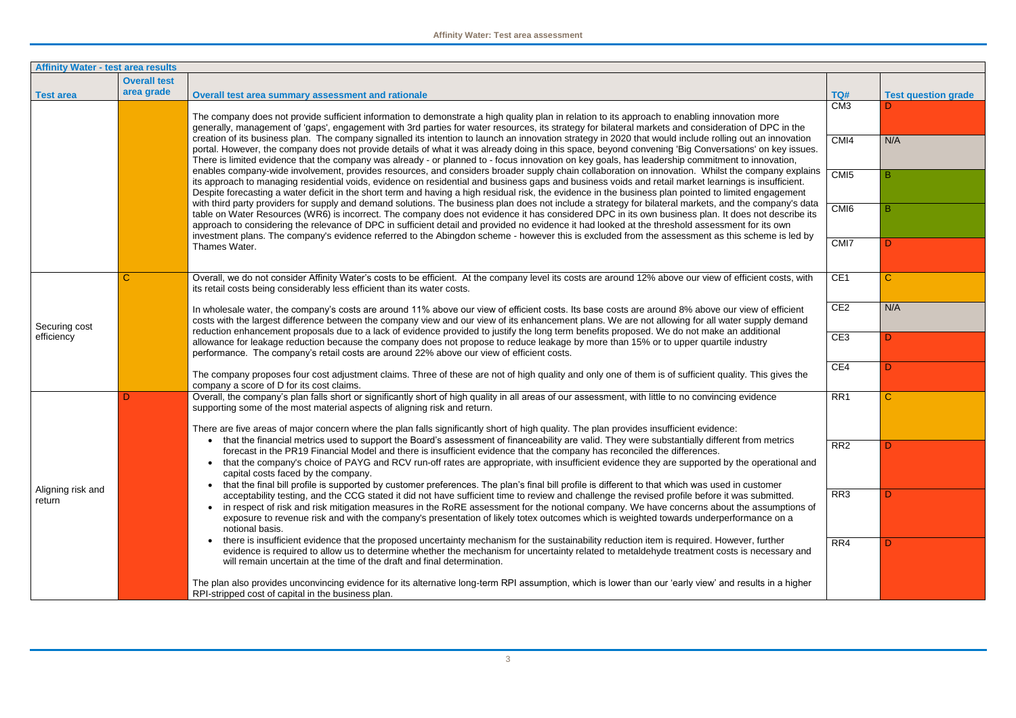| <b>Affinity Water - test area results</b> |                     |                                                                                                                                                                                                                                                                                                                                                                                                                                                                                                                                                                                                                                                                                                                                                                                                                                                                                                                                                                                                                                                                                                                                                                                                                                                                                                                                                                                                                                                                                                                                                                                          |                  |                            |  |  |
|-------------------------------------------|---------------------|------------------------------------------------------------------------------------------------------------------------------------------------------------------------------------------------------------------------------------------------------------------------------------------------------------------------------------------------------------------------------------------------------------------------------------------------------------------------------------------------------------------------------------------------------------------------------------------------------------------------------------------------------------------------------------------------------------------------------------------------------------------------------------------------------------------------------------------------------------------------------------------------------------------------------------------------------------------------------------------------------------------------------------------------------------------------------------------------------------------------------------------------------------------------------------------------------------------------------------------------------------------------------------------------------------------------------------------------------------------------------------------------------------------------------------------------------------------------------------------------------------------------------------------------------------------------------------------|------------------|----------------------------|--|--|
|                                           | <b>Overall test</b> |                                                                                                                                                                                                                                                                                                                                                                                                                                                                                                                                                                                                                                                                                                                                                                                                                                                                                                                                                                                                                                                                                                                                                                                                                                                                                                                                                                                                                                                                                                                                                                                          |                  |                            |  |  |
| <b>Test area</b>                          | area grade          | Overall test area summary assessment and rationale                                                                                                                                                                                                                                                                                                                                                                                                                                                                                                                                                                                                                                                                                                                                                                                                                                                                                                                                                                                                                                                                                                                                                                                                                                                                                                                                                                                                                                                                                                                                       | TQ#              | <b>Test question grade</b> |  |  |
|                                           |                     | The company does not provide sufficient information to demonstrate a high quality plan in relation to its approach to enabling innovation more<br>generally, management of 'gaps', engagement with 3rd parties for water resources, its strategy for bilateral markets and consideration of DPC in the                                                                                                                                                                                                                                                                                                                                                                                                                                                                                                                                                                                                                                                                                                                                                                                                                                                                                                                                                                                                                                                                                                                                                                                                                                                                                   | CM <sub>3</sub>  |                            |  |  |
|                                           |                     | creation of its business plan. The company signalled its intention to launch an innovation strategy in 2020 that would include rolling out an innovation<br>portal. However, the company does not provide details of what it was already doing in this space, beyond convening 'Big Conversations' on key issues.<br>There is limited evidence that the company was already - or planned to - focus innovation on key goals, has leadership commitment to innovation,<br>enables company-wide involvement, provides resources, and considers broader supply chain collaboration on innovation. Whilst the company explains<br>its approach to managing residential voids, evidence on residential and business gaps and business voids and retail market learnings is insufficient.<br>Despite forecasting a water deficit in the short term and having a high residual risk, the evidence in the business plan pointed to limited engagement<br>with third party providers for supply and demand solutions. The business plan does not include a strategy for bilateral markets, and the company's data<br>table on Water Resources (WR6) is incorrect. The company does not evidence it has considered DPC in its own business plan. It does not describe its<br>approach to considering the relevance of DPC in sufficient detail and provided no evidence it had looked at the threshold assessment for its own<br>investment plans. The company's evidence referred to the Abingdon scheme - however this is excluded from the assessment as this scheme is led by<br>Thames Water. | CMI4             | N/A                        |  |  |
|                                           |                     |                                                                                                                                                                                                                                                                                                                                                                                                                                                                                                                                                                                                                                                                                                                                                                                                                                                                                                                                                                                                                                                                                                                                                                                                                                                                                                                                                                                                                                                                                                                                                                                          | CMI5             | в                          |  |  |
|                                           |                     |                                                                                                                                                                                                                                                                                                                                                                                                                                                                                                                                                                                                                                                                                                                                                                                                                                                                                                                                                                                                                                                                                                                                                                                                                                                                                                                                                                                                                                                                                                                                                                                          | CMI <sub>6</sub> |                            |  |  |
|                                           |                     |                                                                                                                                                                                                                                                                                                                                                                                                                                                                                                                                                                                                                                                                                                                                                                                                                                                                                                                                                                                                                                                                                                                                                                                                                                                                                                                                                                                                                                                                                                                                                                                          | CMI <sub>7</sub> | D                          |  |  |
| Securing cost<br>efficiency               |                     | Overall, we do not consider Affinity Water's costs to be efficient. At the company level its costs are around 12% above our view of efficient costs, with<br>its retail costs being considerably less efficient than its water costs.                                                                                                                                                                                                                                                                                                                                                                                                                                                                                                                                                                                                                                                                                                                                                                                                                                                                                                                                                                                                                                                                                                                                                                                                                                                                                                                                                    | CE <sub>1</sub>  | $\mathbf C$                |  |  |
|                                           |                     | In wholesale water, the company's costs are around 11% above our view of efficient costs. Its base costs are around 8% above our view of efficient<br>costs with the largest difference between the company view and our view of its enhancement plans. We are not allowing for all water supply demand<br>reduction enhancement proposals due to a lack of evidence provided to justify the long term benefits proposed. We do not make an additional                                                                                                                                                                                                                                                                                                                                                                                                                                                                                                                                                                                                                                                                                                                                                                                                                                                                                                                                                                                                                                                                                                                                   | CE <sub>2</sub>  | N/A                        |  |  |
|                                           |                     | allowance for leakage reduction because the company does not propose to reduce leakage by more than 15% or to upper quartile industry<br>performance. The company's retail costs are around 22% above our view of efficient costs.                                                                                                                                                                                                                                                                                                                                                                                                                                                                                                                                                                                                                                                                                                                                                                                                                                                                                                                                                                                                                                                                                                                                                                                                                                                                                                                                                       | CE <sub>3</sub>  | D                          |  |  |
|                                           |                     | The company proposes four cost adjustment claims. Three of these are not of high quality and only one of them is of sufficient quality. This gives the<br>company a score of D for its cost claims.                                                                                                                                                                                                                                                                                                                                                                                                                                                                                                                                                                                                                                                                                                                                                                                                                                                                                                                                                                                                                                                                                                                                                                                                                                                                                                                                                                                      | CE4              | D                          |  |  |
|                                           |                     | Overall, the company's plan falls short or significantly short of high quality in all areas of our assessment, with little to no convincing evidence<br>supporting some of the most material aspects of aligning risk and return.                                                                                                                                                                                                                                                                                                                                                                                                                                                                                                                                                                                                                                                                                                                                                                                                                                                                                                                                                                                                                                                                                                                                                                                                                                                                                                                                                        | RR1              | $\mathbf C$                |  |  |
|                                           |                     | There are five areas of major concern where the plan falls significantly short of high quality. The plan provides insufficient evidence:<br>that the financial metrics used to support the Board's assessment of financeability are valid. They were substantially different from metrics<br>forecast in the PR19 Financial Model and there is insufficient evidence that the company has reconciled the differences.<br>that the company's choice of PAYG and RCV run-off rates are appropriate, with insufficient evidence they are supported by the operational and<br>capital costs faced by the company.                                                                                                                                                                                                                                                                                                                                                                                                                                                                                                                                                                                                                                                                                                                                                                                                                                                                                                                                                                            |                  |                            |  |  |
| Aligning risk and<br>return               |                     |                                                                                                                                                                                                                                                                                                                                                                                                                                                                                                                                                                                                                                                                                                                                                                                                                                                                                                                                                                                                                                                                                                                                                                                                                                                                                                                                                                                                                                                                                                                                                                                          | RR <sub>2</sub>  |                            |  |  |
|                                           |                     | that the final bill profile is supported by customer preferences. The plan's final bill profile is different to that which was used in customer                                                                                                                                                                                                                                                                                                                                                                                                                                                                                                                                                                                                                                                                                                                                                                                                                                                                                                                                                                                                                                                                                                                                                                                                                                                                                                                                                                                                                                          | RR <sub>3</sub>  |                            |  |  |
|                                           |                     | acceptability testing, and the CCG stated it did not have sufficient time to review and challenge the revised profile before it was submitted.<br>in respect of risk and risk mitigation measures in the RoRE assessment for the notional company. We have concerns about the assumptions of<br>exposure to revenue risk and with the company's presentation of likely totex outcomes which is weighted towards underperformance on a<br>notional basis.                                                                                                                                                                                                                                                                                                                                                                                                                                                                                                                                                                                                                                                                                                                                                                                                                                                                                                                                                                                                                                                                                                                                 |                  |                            |  |  |
|                                           |                     | there is insufficient evidence that the proposed uncertainty mechanism for the sustainability reduction item is required. However, further<br>evidence is required to allow us to determine whether the mechanism for uncertainty related to metaldehyde treatment costs is necessary and<br>will remain uncertain at the time of the draft and final determination.                                                                                                                                                                                                                                                                                                                                                                                                                                                                                                                                                                                                                                                                                                                                                                                                                                                                                                                                                                                                                                                                                                                                                                                                                     | RR4              |                            |  |  |
|                                           |                     | The plan also provides unconvincing evidence for its alternative long-term RPI assumption, which is lower than our 'early view' and results in a higher<br>RPI-stripped cost of capital in the business plan.                                                                                                                                                                                                                                                                                                                                                                                                                                                                                                                                                                                                                                                                                                                                                                                                                                                                                                                                                                                                                                                                                                                                                                                                                                                                                                                                                                            |                  |                            |  |  |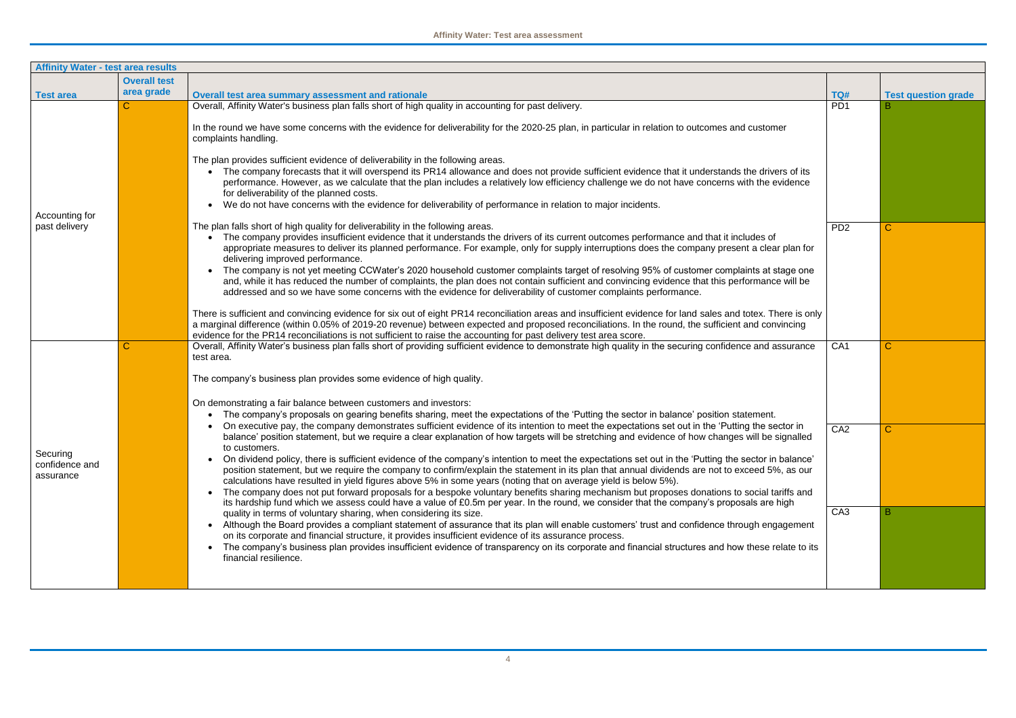| <b>Affinity Water - test area results</b> |                     |                                                                                                                                                                                                                                                                                                                                                                                                                                                                                                                                                                                                                                                                                                                                                                                                                                                                                                                                                                                                                                                                                                                                                                                                                                                                            |                 |                            |  |  |
|-------------------------------------------|---------------------|----------------------------------------------------------------------------------------------------------------------------------------------------------------------------------------------------------------------------------------------------------------------------------------------------------------------------------------------------------------------------------------------------------------------------------------------------------------------------------------------------------------------------------------------------------------------------------------------------------------------------------------------------------------------------------------------------------------------------------------------------------------------------------------------------------------------------------------------------------------------------------------------------------------------------------------------------------------------------------------------------------------------------------------------------------------------------------------------------------------------------------------------------------------------------------------------------------------------------------------------------------------------------|-----------------|----------------------------|--|--|
|                                           | <b>Overall test</b> |                                                                                                                                                                                                                                                                                                                                                                                                                                                                                                                                                                                                                                                                                                                                                                                                                                                                                                                                                                                                                                                                                                                                                                                                                                                                            |                 |                            |  |  |
| <b>Test area</b>                          | area grade          | Overall test area summary assessment and rationale                                                                                                                                                                                                                                                                                                                                                                                                                                                                                                                                                                                                                                                                                                                                                                                                                                                                                                                                                                                                                                                                                                                                                                                                                         | TQ#             | <b>Test question grade</b> |  |  |
| Accounting for<br>past delivery           | С                   | Overall, Affinity Water's business plan falls short of high quality in accounting for past delivery.<br>In the round we have some concerns with the evidence for deliverability for the 2020-25 plan, in particular in relation to outcomes and customer<br>complaints handling.<br>The plan provides sufficient evidence of deliverability in the following areas.<br>The company forecasts that it will overspend its PR14 allowance and does not provide sufficient evidence that it understands the drivers of its<br>performance. However, as we calculate that the plan includes a relatively low efficiency challenge we do not have concerns with the evidence<br>for deliverability of the planned costs.<br>We do not have concerns with the evidence for deliverability of performance in relation to major incidents.                                                                                                                                                                                                                                                                                                                                                                                                                                          | PD <sub>1</sub> |                            |  |  |
|                                           |                     | The plan falls short of high quality for deliverability in the following areas.<br>The company provides insufficient evidence that it understands the drivers of its current outcomes performance and that it includes of<br>appropriate measures to deliver its planned performance. For example, only for supply interruptions does the company present a clear plan for<br>delivering improved performance.<br>The company is not yet meeting CCWater's 2020 household customer complaints target of resolving 95% of customer complaints at stage one<br>and, while it has reduced the number of complaints, the plan does not contain sufficient and convincing evidence that this performance will be<br>addressed and so we have some concerns with the evidence for deliverability of customer complaints performance.<br>There is sufficient and convincing evidence for six out of eight PR14 reconciliation areas and insufficient evidence for land sales and totex. There is only<br>a marginal difference (within 0.05% of 2019-20 revenue) between expected and proposed reconciliations. In the round, the sufficient and convincing<br>evidence for the PR14 reconciliations is not sufficient to raise the accounting for past delivery test area score. | PD <sub>2</sub> | $\mathsf{C}$               |  |  |
| Securing<br>confidence and<br>assurance   |                     | Overall, Affinity Water's business plan falls short of providing sufficient evidence to demonstrate high quality in the securing confidence and assurance<br>test area.<br>The company's business plan provides some evidence of high quality.<br>On demonstrating a fair balance between customers and investors:<br>The company's proposals on gearing benefits sharing, meet the expectations of the 'Putting the sector in balance' position statement.                                                                                                                                                                                                                                                                                                                                                                                                                                                                                                                                                                                                                                                                                                                                                                                                                | CA <sub>1</sub> | $\mathsf{C}$               |  |  |
|                                           |                     | On executive pay, the company demonstrates sufficient evidence of its intention to meet the expectations set out in the 'Putting the sector in<br>balance' position statement, but we require a clear explanation of how targets will be stretching and evidence of how changes will be signalled<br>to customers.<br>On dividend policy, there is sufficient evidence of the company's intention to meet the expectations set out in the 'Putting the sector in balance'<br>position statement, but we require the company to confirm/explain the statement in its plan that annual dividends are not to exceed 5%, as our<br>calculations have resulted in yield figures above 5% in some years (noting that on average yield is below 5%).<br>The company does not put forward proposals for a bespoke voluntary benefits sharing mechanism but proposes donations to social tariffs and<br>its hardship fund which we assess could have a value of £0.5m per year. In the round, we consider that the company's proposals are high                                                                                                                                                                                                                                     | CA <sub>2</sub> | C                          |  |  |
|                                           |                     | quality in terms of voluntary sharing, when considering its size.<br>• Although the Board provides a compliant statement of assurance that its plan will enable customers' trust and confidence through engagement<br>on its corporate and financial structure, it provides insufficient evidence of its assurance process.<br>The company's business plan provides insufficient evidence of transparency on its corporate and financial structures and how these relate to its<br>financial resilience.                                                                                                                                                                                                                                                                                                                                                                                                                                                                                                                                                                                                                                                                                                                                                                   | CA <sub>3</sub> |                            |  |  |